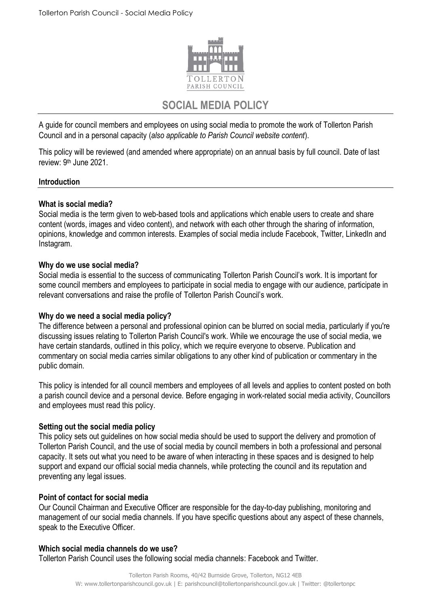

# **SOCIAL MEDIA POLICY**

A guide for council members and employees on using social media to promote the work of Tollerton Parish Council and in a personal capacity (*also applicable to Parish Council website content*).

This policy will be reviewed (and amended where appropriate) on an annual basis by full council. Date of last review: 9<sup>th</sup> June 2021.

## **Introduction**

## **What is social media?**

Social media is the term given to web-based tools and applications which enable users to create and share content (words, images and video content), and network with each other through the sharing of information, opinions, knowledge and common interests. Examples of social media include Facebook, Twitter, LinkedIn and Instagram.

## **Why do we use social media?**

Social media is essential to the success of communicating Tollerton Parish Council's work. It is important for some council members and employees to participate in social media to engage with our audience, participate in relevant conversations and raise the profile of Tollerton Parish Council's work.

# **Why do we need a social media policy?**

The difference between a personal and professional opinion can be blurred on social media, particularly if you're discussing issues relating to Tollerton Parish Council's work. While we encourage the use of social media, we have certain standards, outlined in this policy, which we require everyone to observe. Publication and commentary on social media carries similar obligations to any other kind of publication or commentary in the public domain.

This policy is intended for all council members and employees of all levels and applies to content posted on both a parish council device and a personal device*.* Before engaging in work-related social media activity, Councillors and employees must read this policy.

# **Setting out the social media policy**

This policy sets out guidelines on how social media should be used to support the delivery and promotion of Tollerton Parish Council, and the use of social media by council members in both a professional and personal capacity. It sets out what you need to be aware of when interacting in these spaces and is designed to help support and expand our official social media channels, while protecting the council and its reputation and preventing any legal issues.

#### **Point of contact for social media**

Our Council Chairman and Executive Officer are responsible for the day-to-day publishing, monitoring and management of our social media channels. If you have specific questions about any aspect of these channels, speak to the Executive Officer.

#### **Which social media channels do we use?**

Tollerton Parish Council uses the following social media channels: Facebook and Twitter.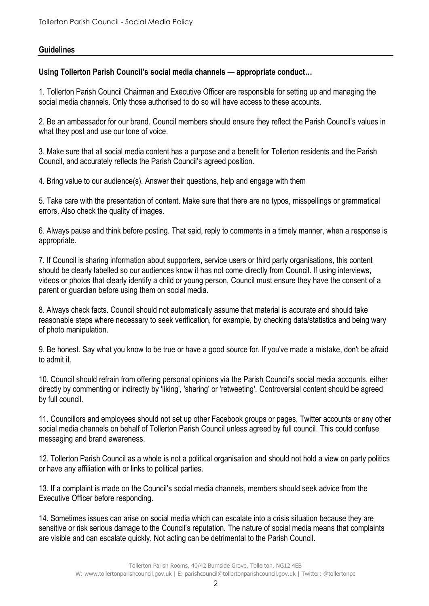## **Guidelines**

## **Using Tollerton Parish Council's social media channels — appropriate conduct…**

1. Tollerton Parish Council Chairman and Executive Officer are responsible for setting up and managing the social media channels. Only those authorised to do so will have access to these accounts.

2. Be an ambassador for our brand. Council members should ensure they reflect the Parish Council's values in what they post and use our tone of voice.

3. Make sure that all social media content has a purpose and a benefit for Tollerton residents and the Parish Council, and accurately reflects the Parish Council's agreed position.

4. Bring value to our audience(s). Answer their questions, help and engage with them

5. Take care with the presentation of content. Make sure that there are no typos, misspellings or grammatical errors. Also check the quality of images.

6. Always pause and think before posting. That said, reply to comments in a timely manner, when a response is appropriate.

7. If Council is sharing information about supporters, service users or third party organisations, this content should be clearly labelled so our audiences know it has not come directly from Council. If using interviews, videos or photos that clearly identify a child or young person, Council must ensure they have the consent of a parent or guardian before using them on social media.

8. Always check facts. Council should not automatically assume that material is accurate and should take reasonable steps where necessary to seek verification, for example, by checking data/statistics and being wary of photo manipulation.

9. Be honest. Say what you know to be true or have a good source for. If you've made a mistake, don't be afraid to admit it.

10. Council should refrain from offering personal opinions via the Parish Council's social media accounts, either directly by commenting or indirectly by 'liking', 'sharing' or 'retweeting'. Controversial content should be agreed by full council.

11. Councillors and employees should not set up other Facebook groups or pages, Twitter accounts or any other social media channels on behalf of Tollerton Parish Council unless agreed by full council. This could confuse messaging and brand awareness.

12. Tollerton Parish Council as a whole is not a political organisation and should not hold a view on party politics or have any affiliation with or links to political parties.

13. If a complaint is made on the Council's social media channels, members should seek advice from the Executive Officer before responding.

14. Sometimes issues can arise on social media which can escalate into a crisis situation because they are sensitive or risk serious damage to the Council's reputation. The nature of social media means that complaints are visible and can escalate quickly. Not acting can be detrimental to the Parish Council.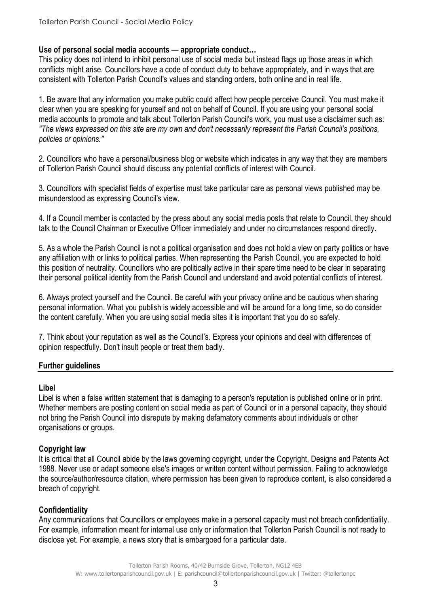## **Use of personal social media accounts — appropriate conduct…**

This policy does not intend to inhibit personal use of social media but instead flags up those areas in which conflicts might arise. Councillors have a code of conduct duty to behave appropriately, and in ways that are consistent with Tollerton Parish Council's values and standing orders, both online and in real life.

1. Be aware that any information you make public could affect how people perceive Council. You must make it clear when you are speaking for yourself and not on behalf of Council. If you are using your personal social media accounts to promote and talk about Tollerton Parish Council's work, you must use a disclaimer such as: *"The views expressed on this site are my own and don't necessarily represent the Parish Council's positions, policies or opinions."*

2. Councillors who have a personal/business blog or website which indicates in any way that they are members of Tollerton Parish Council should discuss any potential conflicts of interest with Council.

3. Councillors with specialist fields of expertise must take particular care as personal views published may be misunderstood as expressing Council's view.

4. If a Council member is contacted by the press about any social media posts that relate to Council, they should talk to the Council Chairman or Executive Officer immediately and under no circumstances respond directly.

5. As a whole the Parish Council is not a political organisation and does not hold a view on party politics or have any affiliation with or links to political parties. When representing the Parish Council, you are expected to hold this position of neutrality. Councillors who are politically active in their spare time need to be clear in separating their personal political identity from the Parish Council and understand and avoid potential conflicts of interest.

6. Always protect yourself and the Council. Be careful with your privacy online and be cautious when sharing personal information. What you publish is widely accessible and will be around for a long time, so do consider the content carefully. When you are using social media sites it is important that you do so safely.

7. Think about your reputation as well as the Council's. Express your opinions and deal with differences of opinion respectfully. Don't insult people or treat them badly.

# **Further guidelines**

#### **Libel**

Libel is when a false written statement that is damaging to a person's reputation is published online or in print. Whether members are posting content on social media as part of Council or in a personal capacity, they should not bring the Parish Council into disrepute by making defamatory comments about individuals or other organisations or groups.

# **Copyright law**

It is critical that all Council abide by the laws governing copyright, under the Copyright, Designs and Patents Act 1988. Never use or adapt someone else's images or written content without permission. Failing to acknowledge the source/author/resource citation, where permission has been given to reproduce content, is also considered a breach of copyright.

# **Confidentiality**

Any communications that Councillors or employees make in a personal capacity must not breach confidentiality. For example, information meant for internal use only or information that Tollerton Parish Council is not ready to disclose yet. For example, a news story that is embargoed for a particular date.